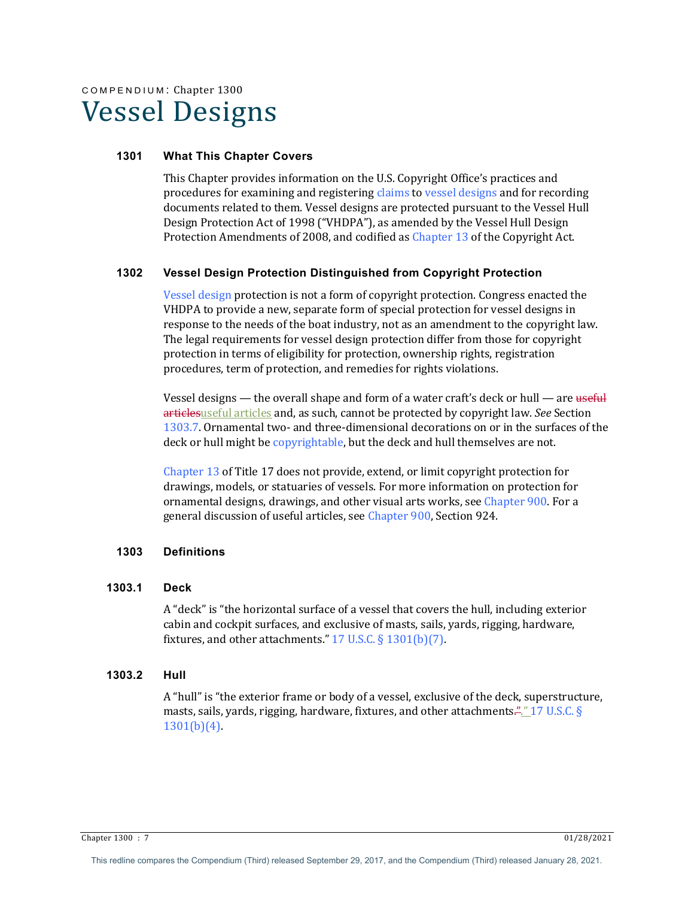# COMPENDIUM: Chapter 1300 Vessel Designs

## **1301 What This Chapter Covers**

This Chapter provides information on the U.S. Copyright Office's practices and procedures for examining and registering claims to vessel designs and for recording documents related to them. Vessel designs are protected pursuant to the Vessel Hull Design Protection Act of 1998 ("VHDPA"), as amended by the Vessel Hull Design Protection Amendments of 2008, and codified as Chapter 13 of the Copyright Act.

## **1302 Vessel Design Protection Distinguished from Copyright Protection**

Vessel design protection is not a form of copyright protection. Congress enacted the VHDPA to provide a new, separate form of special protection for vessel designs in response to the needs of the boat industry, not as an amendment to the copyright law. The legal requirements for vessel design protection differ from those for copyright protection in terms of eligibility for protection, ownership rights, registration procedures, term of protection, and remedies for rights violations.

Vessel designs — the overall shape and form of a water craft's deck or hull — are useful articlesuseful articles and, as such, cannot be protected by copyright law. *See* Section 1303.7. Ornamental two- and three-dimensional decorations on or in the surfaces of the deck or hull might be copyrightable, but the deck and hull themselves are not.

Chapter  $13$  of Title  $17$  does not provide, extend, or limit copyright protection for drawings, models, or statuaries of vessels. For more information on protection for ornamental designs, drawings, and other visual arts works, see Chapter 900. For a general discussion of useful articles, see Chapter 900, Section 924.

# **1303 Definitions**

## **1303.1 Deck**

A "deck" is "the horizontal surface of a vessel that covers the hull, including exterior cabin and cockpit surfaces, and exclusive of masts, sails, yards, rigging, hardware, fixtures, and other attachments."  $17$  U.S.C. §  $1301(b)(7)$ .

## **1303.2 Hull**

A "hull" is "the exterior frame or body of a vessel, exclusive of the deck, superstructure, masts, sails, yards, rigging, hardware, fixtures, and other attachments. $\frac{m}{2}$ , 17 U.S.C. §  $1301(b)(4)$ .

Chapter 1300 : 7 01/28/2021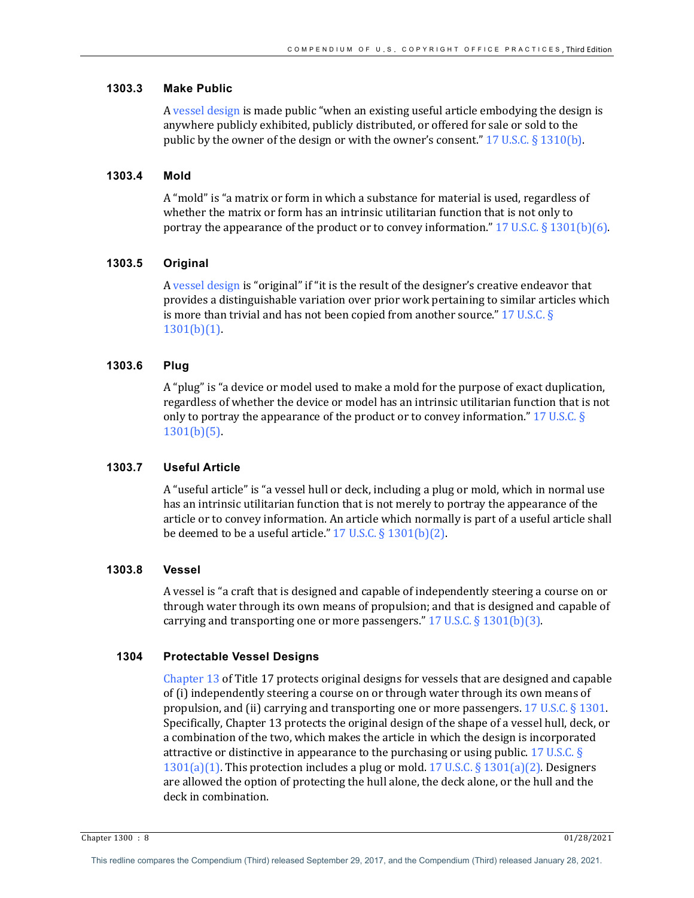## **1303.3 Make Public**

A vessel design is made public "when an existing useful article embodying the design is anywhere publicly exhibited, publicly distributed, or offered for sale or sold to the public by the owner of the design or with the owner's consent."  $17 \text{ U.S.C.} \S 1310(\text{b})$ .

#### **1303.4 Mold**

A "mold" is "a matrix or form in which a substance for material is used, regardless of whether the matrix or form has an intrinsic utilitarian function that is not only to portray the appearance of the product or to convey information."  $17 \text{ U.S.C.} \$ 1301(b)(6)$ .

#### **1303.5 Original**

A vessel design is "original" if "it is the result of the designer's creative endeavor that provides a distinguishable variation over prior work pertaining to similar articles which is more than trivial and has not been copied from another source."  $17 \text{ U.S.C.}$  §  $1301(b)(1)$ .

#### **1303.6 Plug**

A "plug" is "a device or model used to make a mold for the purpose of exact duplication, regardless of whether the device or model has an intrinsic utilitarian function that is not only to portray the appearance of the product or to convey information."  $17$  U.S.C. § 1301(b)(5).

#### **1303.7 Useful Article**

A "useful article" is "a vessel hull or deck, including a plug or mold, which in normal use has an intrinsic utilitarian function that is not merely to portray the appearance of the article or to convey information. An article which normally is part of a useful article shall be deemed to be a useful article."  $17$  U.S.C. §  $1301(b)(2)$ .

## **1303.8 Vessel**

A vessel is "a craft that is designed and capable of independently steering a course on or through water through its own means of propulsion; and that is designed and capable of carrying and transporting one or more passengers."  $17$  U.S.C. §  $1301(b)(3)$ .

#### **1304 Protectable Vessel Designs**

Chapter  $13$  of Title  $17$  protects original designs for vessels that are designed and capable of (i) independently steering a course on or through water through its own means of propulsion, and (ii) carrying and transporting one or more passengers.  $17 \text{ U.S.C.}$  §  $1301$ . Specifically, Chapter 13 protects the original design of the shape of a vessel hull, deck, or a combination of the two, which makes the article in which the design is incorporated attractive or distinctive in appearance to the purchasing or using public. 17 U.S.C.  $\S$  $1301(a)(1)$ . This protection includes a plug or mold. 17 U.S.C. § 1301(a)(2). Designers are allowed the option of protecting the hull alone, the deck alone, or the hull and the deck in combination.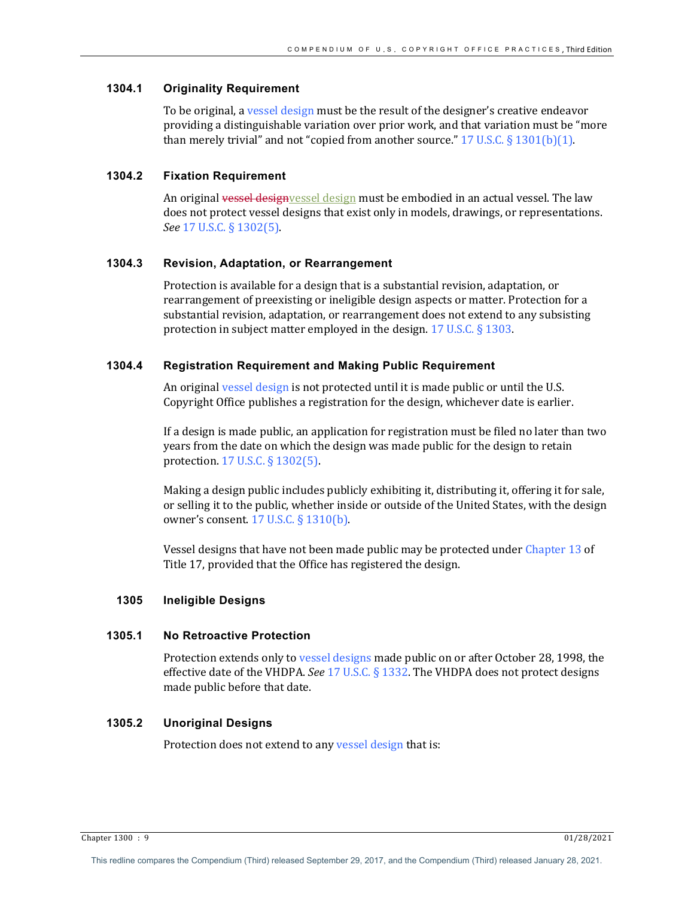## **1304.1 Originality Requirement**

To be original, a vessel design must be the result of the designer's creative endeavor providing a distinguishable variation over prior work, and that variation must be "more than merely trivial" and not "copied from another source."  $17 \text{ U.S.C.}$  §  $1301(b)(1)$ .

## **1304.2 Fixation Requirement**

An original vessel designvessel design must be embodied in an actual vessel. The law does not protect vessel designs that exist only in models, drawings, or representations. *See* 17 U.S.C. § 1302(5).

#### **1304.3 Revision, Adaptation, or Rearrangement**

Protection is available for a design that is a substantial revision, adaptation, or rearrangement of preexisting or ineligible design aspects or matter. Protection for a substantial revision, adaptation, or rearrangement does not extend to any subsisting protection in subject matter employed in the design.  $17$  U.S.C. § 1303.

#### **1304.4 Registration Requirement and Making Public Requirement**

An original vessel design is not protected until it is made public or until the U.S. Copyright Office publishes a registration for the design, whichever date is earlier.

If a design is made public, an application for registration must be filed no later than two years from the date on which the design was made public for the design to retain protection. 17 U.S.C. § 1302(5).

Making a design public includes publicly exhibiting it, distributing it, offering it for sale, or selling it to the public, whether inside or outside of the United States, with the design owner's consent.  $17$  U.S.C. §  $1310(b)$ .

Vessel designs that have not been made public may be protected under Chapter 13 of Title 17, provided that the Office has registered the design.

## **1305 Ineligible Designs**

# **1305.1 No Retroactive Protection**

Protection extends only to vessel designs made public on or after October 28, 1998, the effective date of the VHDPA. *See* 17 U.S.C. § 1332. The VHDPA does not protect designs made public before that date.

# **1305.2 Unoriginal Designs**

Protection does not extend to any vessel design that is:

Chapter 1300 : 9 01/28/2021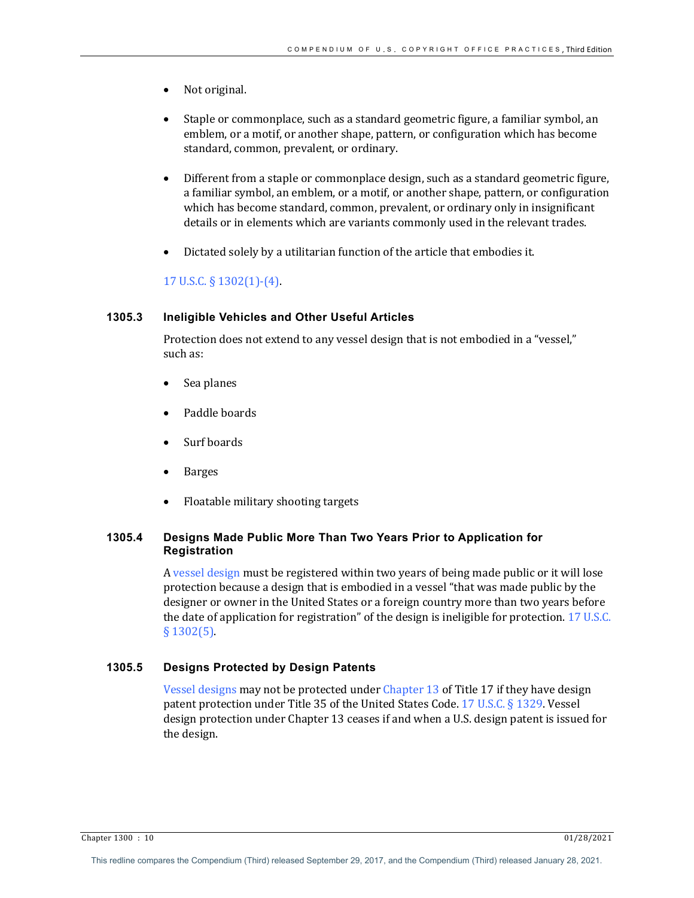- Not original.
- Staple or commonplace, such as a standard geometric figure, a familiar symbol, an emblem, or a motif, or another shape, pattern, or configuration which has become standard, common, prevalent, or ordinary.
- Different from a staple or commonplace design, such as a standard geometric figure, a familiar symbol, an emblem, or a motif, or another shape, pattern, or configuration which has become standard, common, prevalent, or ordinary only in insignificant details or in elements which are variants commonly used in the relevant trades.
- Dictated solely by a utilitarian function of the article that embodies it.

# 17 U.S.C.  $\S$  1302(1)-(4).

## **1305.3 Ineligible Vehicles and Other Useful Articles**

Protection does not extend to any vessel design that is not embodied in a "vessel," such as:

- Sea planes
- Paddle boards
- Surf boards
- Barges
- Floatable military shooting targets

# **1305.4 Designs Made Public More Than Two Years Prior to Application for Registration**

A vessel design must be registered within two years of being made public or it will lose protection because a design that is embodied in a vessel "that was made public by the designer or owner in the United States or a foreign country more than two years before the date of application for registration" of the design is ineligible for protection.  $17 \text{ U.S.C.}$  $§ 1302(5)$ .

# **1305.5 Designs Protected by Design Patents**

Vessel designs may not be protected under Chapter 13 of Title 17 if they have design patent protection under Title 35 of the United States Code. 17 U.S.C. § 1329. Vessel design protection under Chapter 13 ceases if and when a U.S. design patent is issued for the design.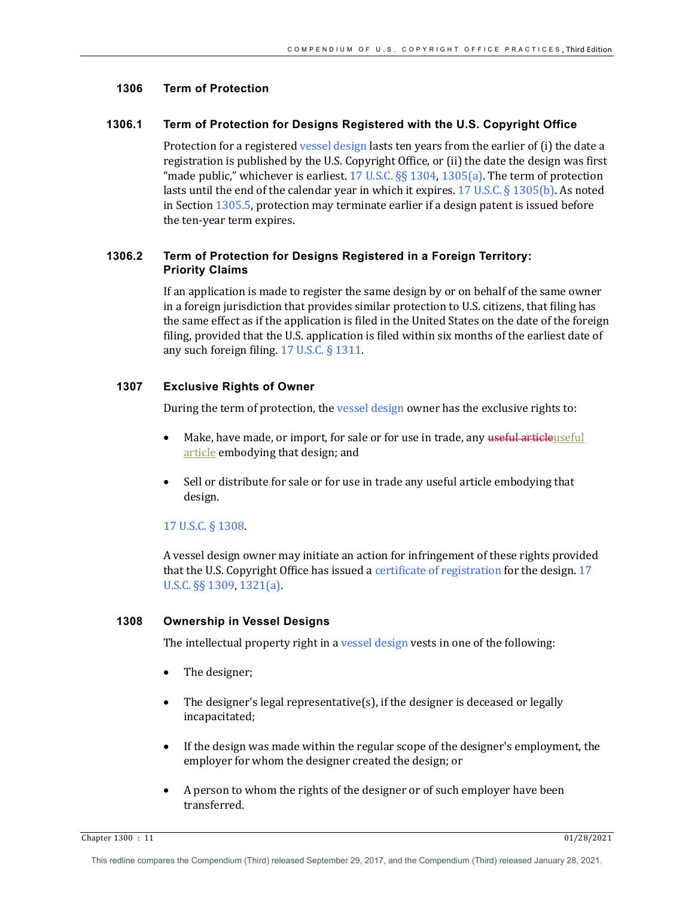## **1306 Term of Protection**

## **1306.1 Term of Protection for Designs Registered with the U.S. Copyright Office**

Protection for a registered vessel design lasts ten years from the earlier of  $(i)$  the date a registration is published by the U.S. Copyright Office, or (ii) the date the design was first "made public," whichever is earliest.  $17 \text{ U.S.C.}$  §§  $1304$ ,  $1305(a)$ . The term of protection lasts until the end of the calendar year in which it expires. 17 U.S.C. § 1305(b). As noted in Section  $1305.5$ , protection may terminate earlier if a design patent is issued before the ten-year term expires.

# **1306.2 Term of Protection for Designs Registered in a Foreign Territory: Priority Claims**

If an application is made to register the same design by or on behalf of the same owner in a foreign jurisdiction that provides similar protection to U.S. citizens, that filing has the same effect as if the application is filed in the United States on the date of the foreign filing, provided that the U.S. application is filed within six months of the earliest date of any such foreign filing.  $17 \text{ U.S.C.}$  §  $1311$ .

# **1307 Exclusive Rights of Owner**

During the term of protection, the vessel design owner has the exclusive rights to:

- Make, have made, or import, for sale or for use in trade, any useful articleuseful article embodying that design; and
- Sell or distribute for sale or for use in trade any useful article embodying that design.

# 17 U.S.C. § 1308.

A vessel design owner may initiate an action for infringement of these rights provided that the U.S. Copyright Office has issued a certificate of registration for the design. 17 U.S.C. §§ 1309, 1321(a).

## **1308 Ownership in Vessel Designs**

The intellectual property right in a vessel design vests in one of the following:

- The designer;
- The designer's legal representative(s), if the designer is deceased or legally incapacitated;
- If the design was made within the regular scope of the designer's employment, the employer for whom the designer created the design; or
- A person to whom the rights of the designer or of such employer have been transferred.

Chapter 1300 : 11 01/28/2021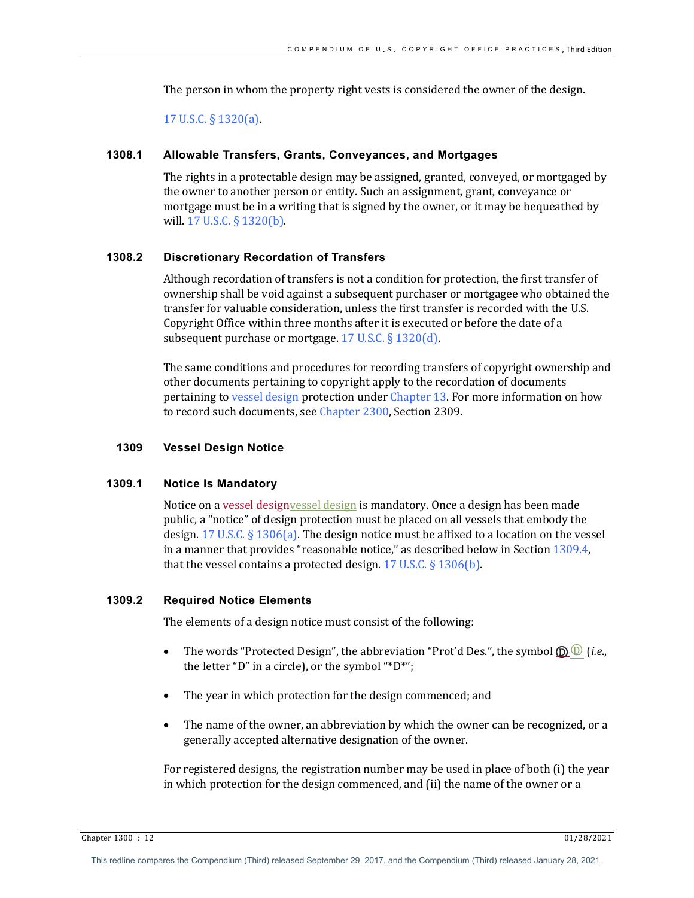The person in whom the property right vests is considered the owner of the design.

17 U.S.C.  $\S$  1320(a).

#### **1308.1 Allowable Transfers, Grants, Conveyances, and Mortgages**

The rights in a protectable design may be assigned, granted, conveyed, or mortgaged by the owner to another person or entity. Such an assignment, grant, conveyance or mortgage must be in a writing that is signed by the owner, or it may be bequeathed by will.  $17 \text{ U.S.C.}$  §  $1320(b)$ .

## **1308.2 Discretionary Recordation of Transfers**

Although recordation of transfers is not a condition for protection, the first transfer of ownership shall be void against a subsequent purchaser or mortgagee who obtained the transfer for valuable consideration, unless the first transfer is recorded with the U.S. Copyright Office within three months after it is executed or before the date of a subsequent purchase or mortgage.  $17$  U.S.C. §  $1320(d)$ .

The same conditions and procedures for recording transfers of copyright ownership and other documents pertaining to copyright apply to the recordation of documents pertaining to vessel design protection under Chapter 13. For more information on how to record such documents, see Chapter 2300, Section 2309.

#### **1309 Vessel Design Notice**

#### **1309.1 Notice Is Mandatory**

Notice on a vessel designyessel design is mandatory. Once a design has been made public, a "notice" of design protection must be placed on all vessels that embody the design.  $17 \text{ U.S.C.}$  §  $1306(a)$ . The design notice must be affixed to a location on the vessel in a manner that provides "reasonable notice," as described below in Section  $1309.4$ , that the vessel contains a protected design.  $17$  U.S.C. §  $1306(b)$ .

#### **1309.2 Required Notice Elements**

The elements of a design notice must consist of the following:

- The words "Protected Design", the abbreviation "Prot'd Des.", the symbol  $\mathbf{D}(\mathbf{D})$  (*i.e.*, the letter "D" in a circle), or the symbol "\*D\*";
- The year in which protection for the design commenced; and
- The name of the owner, an abbreviation by which the owner can be recognized, or a generally accepted alternative designation of the owner.

For registered designs, the registration number may be used in place of both (i) the year in which protection for the design commenced, and (ii) the name of the owner or a

Chapter 1300 : 12 01/28/2021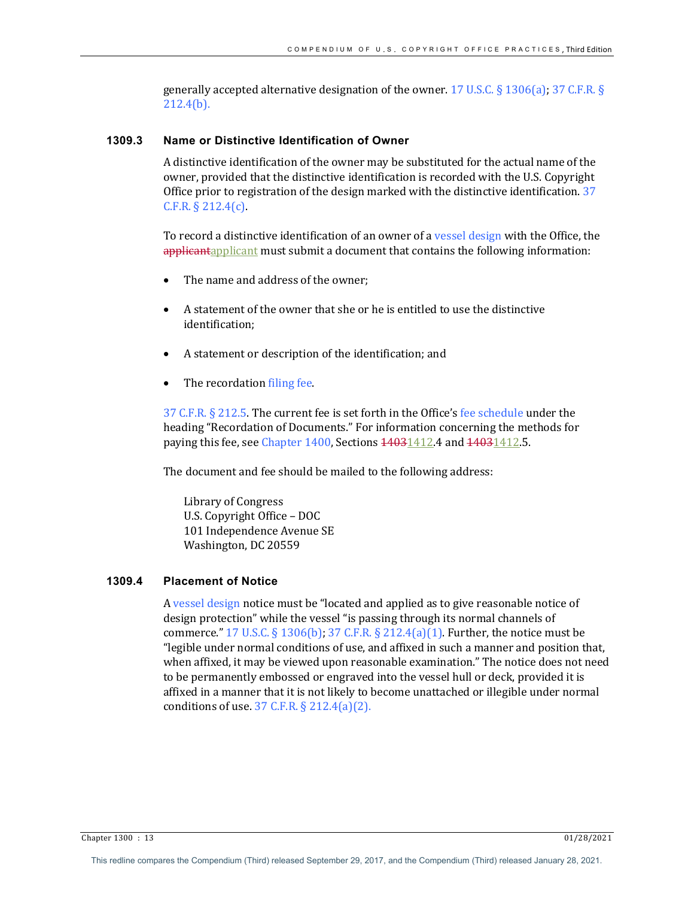generally accepted alternative designation of the owner. 17 U.S.C. § 1306(a); 37 C.F.R. § 212.4(b).

## **1309.3 Name or Distinctive Identification of Owner**

A distinctive identification of the owner may be substituted for the actual name of the owner, provided that the distinctive identification is recorded with the U.S. Copyright Office prior to registration of the design marked with the distinctive identification.  $37$  $C.F.R. § 212.4(c).$ 

To record a distinctive identification of an owner of a vessel design with the Office, the applicantapplicant must submit a document that contains the following information:

- The name and address of the owner;
- A statement of the owner that she or he is entitled to use the distinctive identification;
- A statement or description of the identification; and
- The recordation filing fee.

 $37$  C.F.R.  $\S$  212.5. The current fee is set forth in the Office's fee schedule under the heading "Recordation of Documents." For information concerning the methods for paying this fee, see Chapter 1400, Sections  $\frac{14031412}{14031412.5}$ .

The document and fee should be mailed to the following address:

Library of Congress U.S. Copyright Office - DOC 101 Independence Avenue SE Washington, DC 20559

## **1309.4 Placement of Notice**

A vessel design notice must be "located and applied as to give reasonable notice of design protection" while the vessel "is passing through its normal channels of commerce."  $17 \text{ U.S.C.} \S$   $1306 \text{ (b)}$ ;  $37 \text{ C.F.R.} \S$   $212.4 \text{ (a)}(1)$ . Further, the notice must be "legible under normal conditions of use, and affixed in such a manner and position that, when affixed, it may be viewed upon reasonable examination." The notice does not need to be permanently embossed or engraved into the vessel hull or deck, provided it is affixed in a manner that it is not likely to become unattached or illegible under normal conditions of use.  $37$  C.F.R. §  $212.4(a)(2)$ .

Chapter 1300 : 13 01/28/2021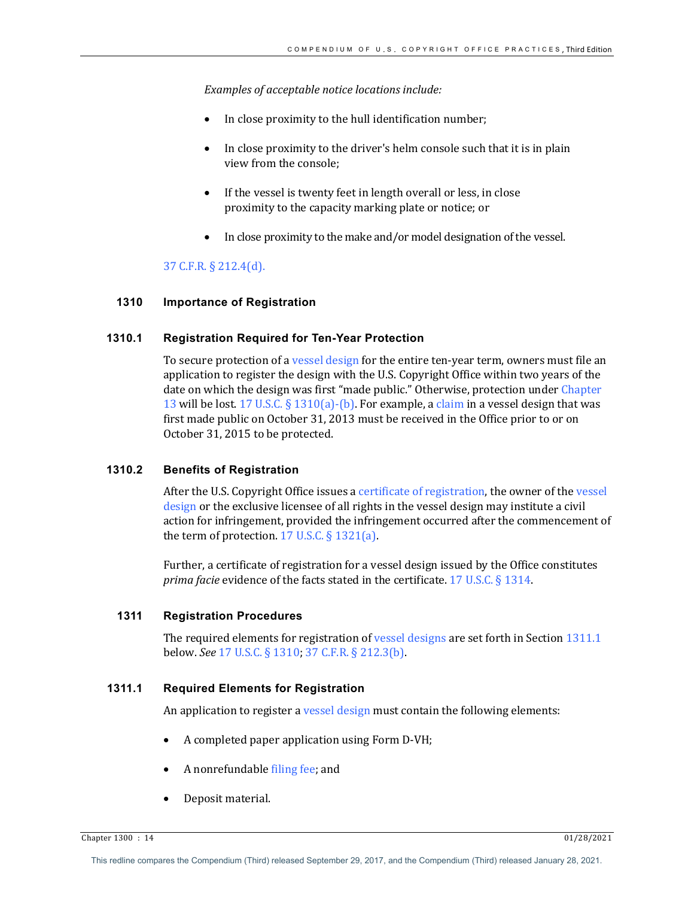Examples of acceptable notice *locations* include:

- In close proximity to the hull identification number;
- In close proximity to the driver's helm console such that it is in plain view from the console;
- If the vessel is twenty feet in length overall or less, in close proximity to the capacity marking plate or notice; or
- In close proximity to the make and/or model designation of the vessel.

## 37 C.F.R. § 212.4(d).

## **1310 Importance of Registration**

## **1310.1 Registration Required for Ten-Year Protection**

To secure protection of a vessel design for the entire ten-year term, owners must file an application to register the design with the U.S. Copyright Office within two years of the date on which the design was first "made public." Otherwise, protection under Chapter 13 will be lost. 17 U.S.C.  $\S$  1310(a)-(b). For example, a claim in a vessel design that was first made public on October 31, 2013 must be received in the Office prior to or on October 31, 2015 to be protected.

#### **1310.2 Benefits of Registration**

After the U.S. Copyright Office issues a certificate of registration, the owner of the vessel design or the exclusive licensee of all rights in the vessel design may institute a civil action for infringement, provided the infringement occurred after the commencement of the term of protection.  $17$  U.S.C. §  $1321(a)$ .

Further, a certificate of registration for a vessel design issued by the Office constitutes *prima facie* evidence of the facts stated in the certificate. 17 U.S.C. § 1314.

#### **1311 Registration Procedures**

The required elements for registration of vessel designs are set forth in Section  $1311.1$ below. *See* 17 U.S.C. § 1310; 37 C.F.R. § 212.3(b).

## **1311.1 Required Elements for Registration**

An application to register a vessel design must contain the following elements:

- A completed paper application using Form D-VH;
- A nonrefundable filing fee; and
- Deposit material.

Chapter 1300 : 14 01/28/2021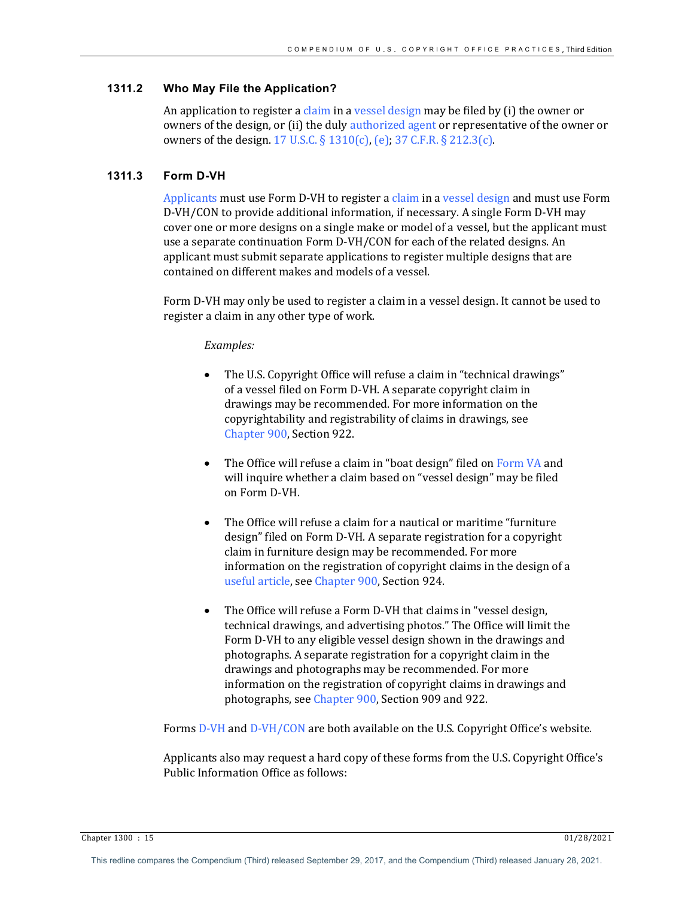## **1311.2 Who May File the Application?**

An application to register a claim in a vessel design may be filed by  $(i)$  the owner or owners of the design, or (ii) the duly authorized agent or representative of the owner or owners of the design. 17 U.S.C.  $\S$  1310(c), (e); 37 C.F.R.  $\S$  212.3(c).

## **1311.3 Form D-VH**

Applicants must use Form D-VH to register a claim in a vessel design and must use Form D-VH/CON to provide additional information, if necessary. A single Form D-VH may cover one or more designs on a single make or model of a vessel, but the applicant must use a separate continuation Form D-VH/CON for each of the related designs. An applicant must submit separate applications to register multiple designs that are contained on different makes and models of a vessel.

Form D-VH may only be used to register a claim in a vessel design. It cannot be used to register a claim in any other type of work.

#### *Examples:*

- The U.S. Copyright Office will refuse a claim in "technical drawings" of a vessel filed on Form D-VH. A separate copyright claim in drawings may be recommended. For more information on the copyrightability and registrability of claims in drawings, see Chapter 900, Section 922.
- The Office will refuse a claim in "boat design" filed on Form VA and will inquire whether a claim based on "vessel design" may be filed on Form D-VH.
- The Office will refuse a claim for a nautical or maritime "furniture" design" filed on Form D-VH. A separate registration for a copyright claim in furniture design may be recommended. For more information on the registration of copyright claims in the design of a useful article, see Chapter 900, Section 924.
- The Office will refuse a Form D-VH that claims in "vessel design, technical drawings, and advertising photos." The Office will limit the Form D-VH to any eligible vessel design shown in the drawings and photographs. A separate registration for a copyright claim in the drawings and photographs may be recommended. For more information on the registration of copyright claims in drawings and photographs, see Chapter 900, Section 909 and 922.

Forms D-VH and D-VH/CON are both available on the U.S. Copyright Office's website.

Applicants also may request a hard copy of these forms from the U.S. Copyright Office's Public Information Office as follows:

Chapter 1300 : 15 01/28/2021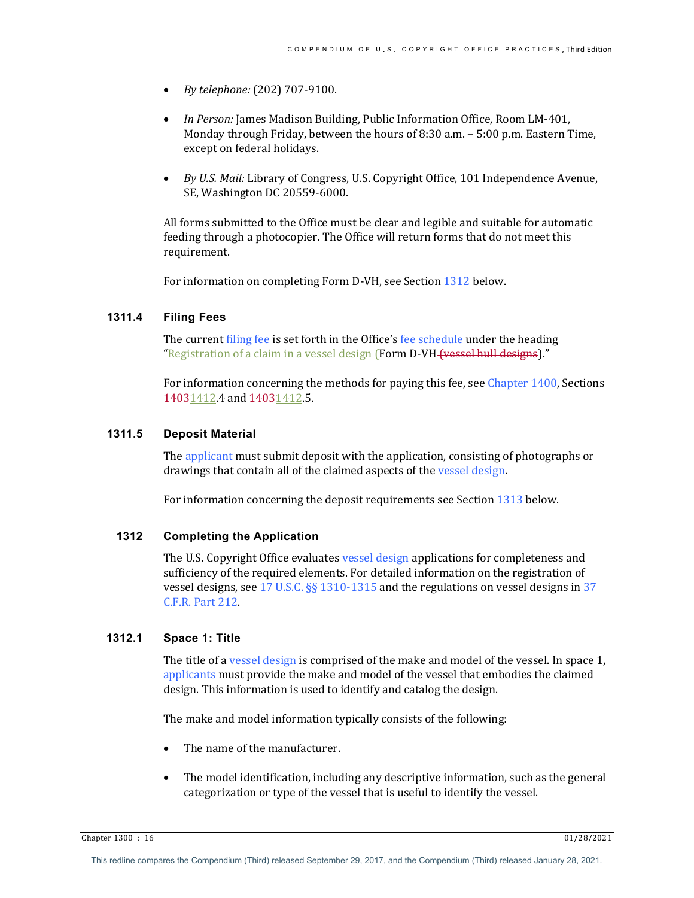- *By telephone:* (202) 707-9100.
- In Person: James Madison Building, Public Information Office, Room LM-401, Monday through Friday, between the hours of 8:30 a.m.  $-5:00$  p.m. Eastern Time, except on federal holidays.
- *By U.S. Mail: Library of Congress, U.S. Copyright Office, 101 Independence Avenue,* SE, Washington DC 20559-6000.

All forms submitted to the Office must be clear and legible and suitable for automatic feeding through a photocopier. The Office will return forms that do not meet this requirement. 

For information on completing Form D-VH, see Section 1312 below.

## **1311.4 Filing Fees**

The current filing fee is set forth in the Office's fee schedule under the heading "Registration of a claim in a vessel design (Form D-VH (vessel hull designs)."

For information concerning the methods for paying this fee, see Chapter  $1400$ , Sections 14031412.4 and 14031412.5.

#### **1311.5 Deposit Material**

The applicant must submit deposit with the application, consisting of photographs or drawings that contain all of the claimed aspects of the vessel design.

For information concerning the deposit requirements see Section 1313 below.

# **1312 Completing the Application**

The U.S. Copyright Office evaluates vessel design applications for completeness and sufficiency of the required elements. For detailed information on the registration of vessel designs, see 17 U.S.C.  $\S$ § 1310-1315 and the regulations on vessel designs in 37 C.F.R. Part 212.

#### **1312.1 Space 1: Title**

The title of a vessel design is comprised of the make and model of the vessel. In space 1, applicants must provide the make and model of the vessel that embodies the claimed design. This information is used to identify and catalog the design.

The make and model information typically consists of the following:

- The name of the manufacturer.
- The model identification, including any descriptive information, such as the general categorization or type of the vessel that is useful to identify the vessel.

Chapter 1300 : 16 01/28/2021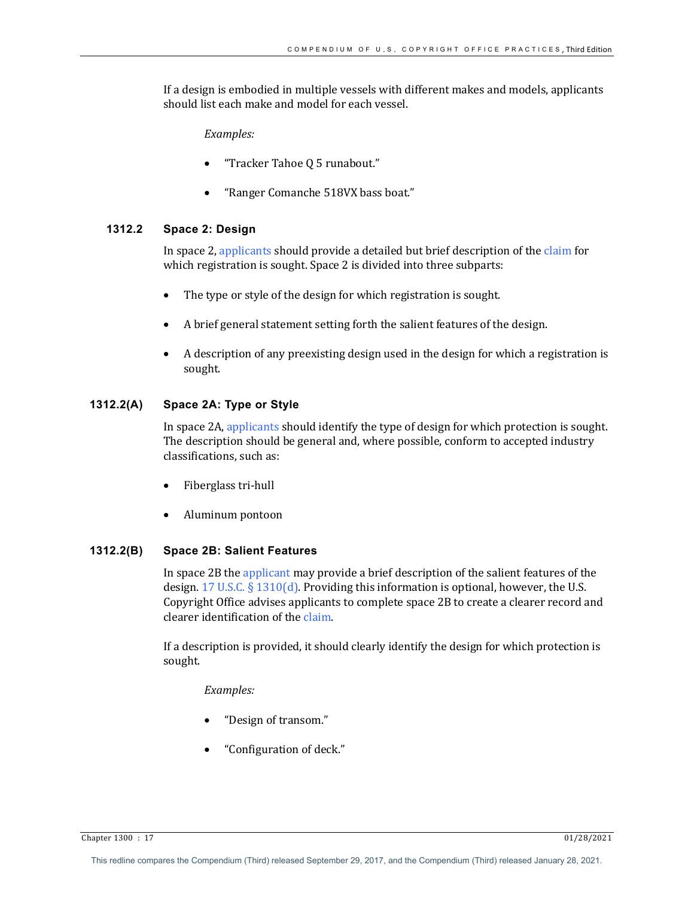If a design is embodied in multiple vessels with different makes and models, applicants should list each make and model for each vessel.

*Examples:*

- "Tracker Tahoe Q 5 runabout."
- "Ranger Comanche 518VX bass boat."

#### **1312.2 Space 2: Design**

In space 2, applicants should provide a detailed but brief description of the claim for which registration is sought. Space 2 is divided into three subparts:

- The type or style of the design for which registration is sought.
- A brief general statement setting forth the salient features of the design.
- A description of any preexisting design used in the design for which a registration is sought.

## **1312.2(A) Space 2A: Type or Style**

In space 2A, applicants should identify the type of design for which protection is sought. The description should be general and, where possible, conform to accepted industry classifications, such as:

- Fiberglass tri-hull
- Aluminum pontoon

#### **1312.2(B) Space 2B: Salient Features**

In space 2B the applicant may provide a brief description of the salient features of the design.  $17$  U.S.C. §  $1310(d)$ . Providing this information is optional, however, the U.S. Copyright Office advises applicants to complete space 2B to create a clearer record and clearer identification of the claim.

If a description is provided, it should clearly identify the design for which protection is sought.

#### *Examples:*

- "Design of transom."
- "Configuration of deck."

Chapter 1300 : 17 01/28/2021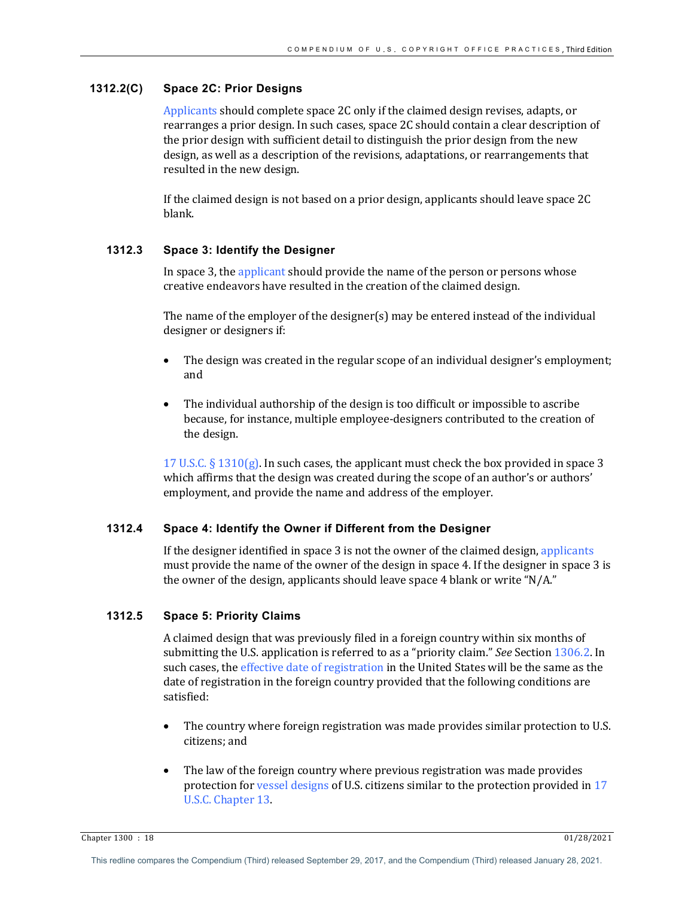## **1312.2(C) Space 2C: Prior Designs**

Applicants should complete space 2C only if the claimed design revises, adapts, or rearranges a prior design. In such cases, space 2C should contain a clear description of the prior design with sufficient detail to distinguish the prior design from the new design, as well as a description of the revisions, adaptations, or rearrangements that resulted in the new design.

If the claimed design is not based on a prior design, applicants should leave space  $2C$ blank.

## **1312.3 Space 3: Identify the Designer**

In space 3, the applicant should provide the name of the person or persons whose creative endeavors have resulted in the creation of the claimed design.

The name of the employer of the designer(s) may be entered instead of the individual designer or designers if:

- The design was created in the regular scope of an individual designer's employment; and
- The individual authorship of the design is too difficult or impossible to ascribe because, for instance, multiple employee-designers contributed to the creation of the design.

17 U.S.C.  $\S$  1310(g). In such cases, the applicant must check the box provided in space 3 which affirms that the design was created during the scope of an author's or authors' employment, and provide the name and address of the employer.

## **1312.4 Space 4: Identify the Owner if Different from the Designer**

If the designer identified in space  $3$  is not the owner of the claimed design, applicants must provide the name of the owner of the design in space 4. If the designer in space 3 is the owner of the design, applicants should leave space 4 blank or write "N/A."

# **1312.5 Space 5: Priority Claims**

A claimed design that was previously filed in a foreign country within six months of submitting the U.S. application is referred to as a "priority claim." *See* Section 1306.2. In such cases, the effective date of registration in the United States will be the same as the date of registration in the foreign country provided that the following conditions are satisfied:

- The country where foreign registration was made provides similar protection to U.S. citizens; and
- The law of the foreign country where previous registration was made provides protection for vessel designs of U.S. citizens similar to the protection provided in 17 U.S.C. Chapter 13.

Chapter 1300 : 18 01/28/2021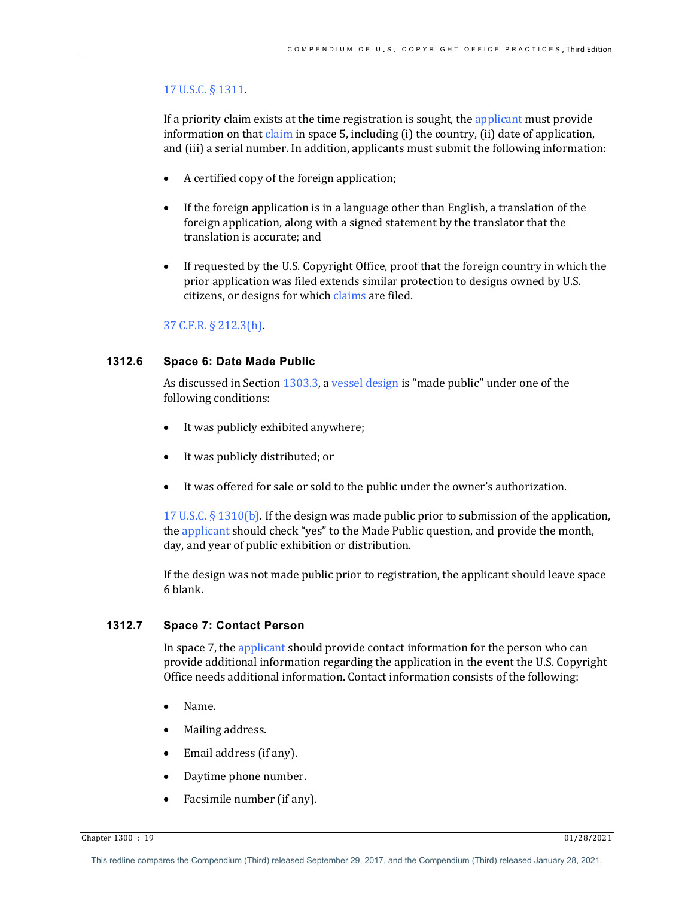#### 17 U.S.C. § 1311.

If a priority claim exists at the time registration is sought, the applicant must provide information on that claim in space 5, including  $(i)$  the country,  $(ii)$  date of application, and (iii) a serial number. In addition, applicants must submit the following information:

- A certified copy of the foreign application;
- If the foreign application is in a language other than English, a translation of the foreign application, along with a signed statement by the translator that the translation is accurate; and
- If requested by the U.S. Copyright Office, proof that the foreign country in which the prior application was filed extends similar protection to designs owned by U.S. citizens, or designs for which claims are filed.

#### 37 C.F.R. § 212.3(h).

# **1312.6 Space 6: Date Made Public**

As discussed in Section  $1303.3$ , a vessel design is "made public" under one of the following conditions:

- It was publicly exhibited anywhere;
- It was publicly distributed; or
- It was offered for sale or sold to the public under the owner's authorization.

17 U.S.C.  $\S$  1310(b). If the design was made public prior to submission of the application, the applicant should check "yes" to the Made Public question, and provide the month, day, and year of public exhibition or distribution.

If the design was not made public prior to registration, the applicant should leave space 6 blank.

## **1312.7 Space 7: Contact Person**

In space 7, the applicant should provide contact information for the person who can provide additional information regarding the application in the event the U.S. Copyright Office needs additional information. Contact information consists of the following:

- Name.
- Mailing address.
- Email address (if any).
- Daytime phone number.
- Facsimile number (if any).

Chapter 1300 : 19 01/28/2021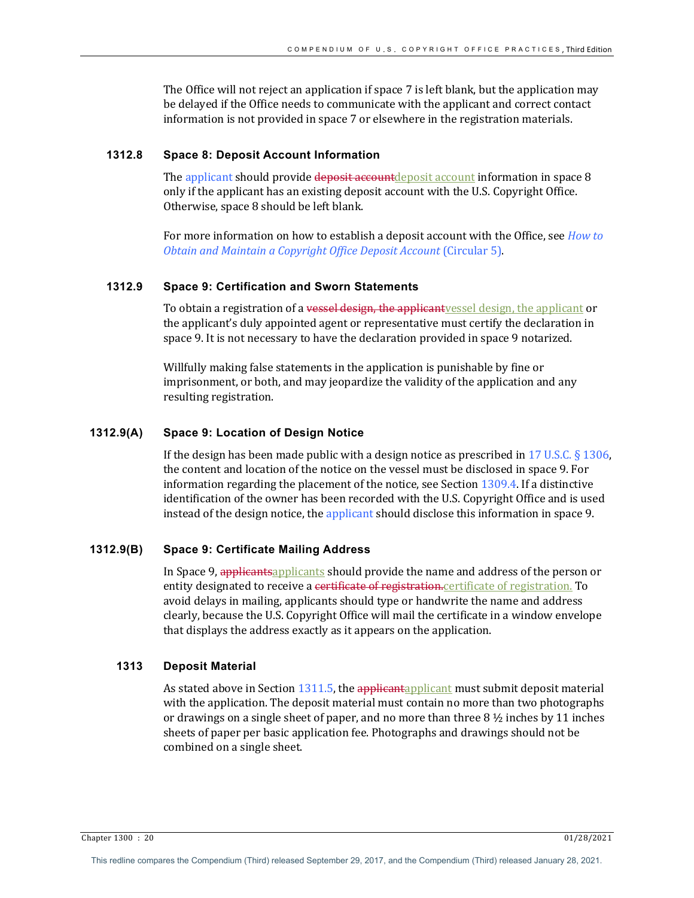The Office will not reject an application if space  $7$  is left blank, but the application may be delayed if the Office needs to communicate with the applicant and correct contact information is not provided in space 7 or elsewhere in the registration materials.

#### **1312.8 Space 8: Deposit Account Information**

The applicant should provide deposit account account information in space 8 only if the applicant has an existing deposit account with the U.S. Copyright Office. Otherwise, space 8 should be left blank.

For more information on how to establish a deposit account with the Office, see *How to Obtain and Maintain a Copyright Office Deposit Account (Circular 5).* 

# **1312.9 Space 9: Certification and Sworn Statements**

To obtain a registration of a vessel design, the applicantvessel design, the applicant or the applicant's duly appointed agent or representative must certify the declaration in space 9. It is not necessary to have the declaration provided in space 9 notarized.

Willfully making false statements in the application is punishable by fine or imprisonment, or both, and may jeopardize the validity of the application and any resulting registration.

#### **1312.9(A) Space 9: Location of Design Notice**

If the design has been made public with a design notice as prescribed in 17 U.S.C.  $\S$  1306, the content and location of the notice on the vessel must be disclosed in space 9. For information regarding the placement of the notice, see Section  $1309.4$ . If a distinctive identification of the owner has been recorded with the U.S. Copyright Office and is used instead of the design notice, the applicant should disclose this information in space 9.

#### **1312.9(B) Space 9: Certificate Mailing Address**

In Space 9, applicantsapplicants should provide the name and address of the person or entity designated to receive a certificate of registration.certificate of registration. To avoid delays in mailing, applicants should type or handwrite the name and address clearly, because the U.S. Copyright Office will mail the certificate in a window envelope that displays the address exactly as it appears on the application.

#### **1313 Deposit Material**

As stated above in Section  $1311.5$ , the applicant must submit deposit material with the application. The deposit material must contain no more than two photographs or drawings on a single sheet of paper, and no more than three  $8\frac{1}{2}$  inches by 11 inches sheets of paper per basic application fee. Photographs and drawings should not be combined on a single sheet.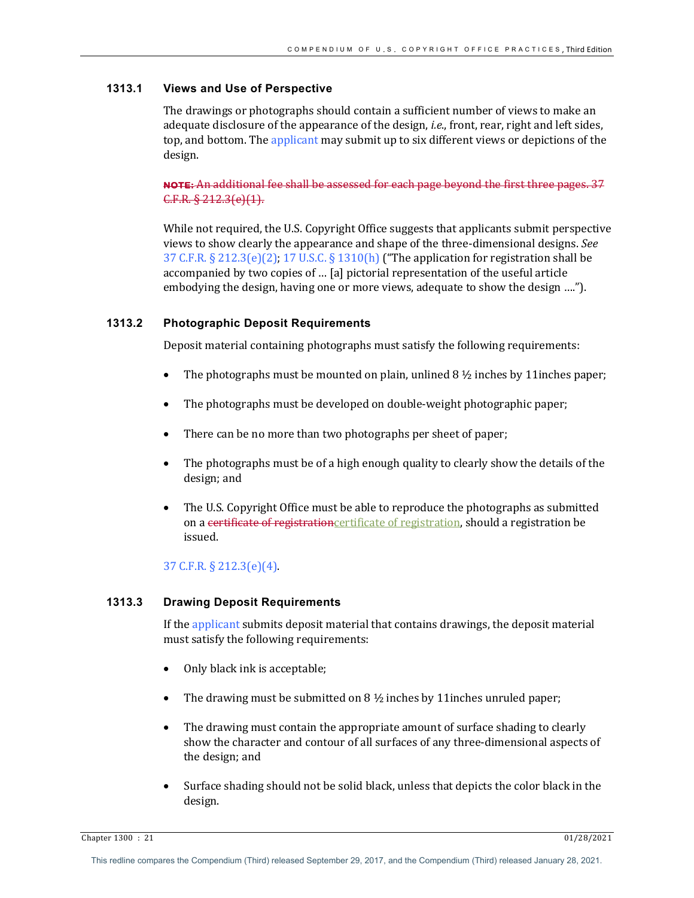## **1313.1 Views and Use of Perspective**

The drawings or photographs should contain a sufficient number of views to make an adequate disclosure of the appearance of the design, *i.e.*, front, rear, right and left sides, top, and bottom. The applicant may submit up to six different views or depictions of the design.

# NOTE: An additional fee shall be assessed for each page beyond the first three pages. 37 C.F.R. § 212.3(e)(1).

While not required, the U.S. Copyright Office suggests that applicants submit perspective views to show clearly the appearance and shape of the three-dimensional designs. See 37 C.F.R.  $\S 212.3(e)(2)$ ; 17 U.S.C.  $\S 1310(h)$  ("The application for registration shall be accompanied by two copies of ... [a] pictorial representation of the useful article embodying the design, having one or more views, adequate to show the design ....").

## **1313.2 Photographic Deposit Requirements**

Deposit material containing photographs must satisfy the following requirements:

- The photographs must be mounted on plain, unlined  $8\frac{1}{2}$  inches by 11 inches paper;
- The photographs must be developed on double-weight photographic paper;
- There can be no more than two photographs per sheet of paper;
- The photographs must be of a high enough quality to clearly show the details of the design; and
- The U.S. Copyright Office must be able to reproduce the photographs as submitted on a certificate of registrationcertificate of registration, should a registration be issued.

# 37 C.F.R. § 212.3(e)(4).

# **1313.3 Drawing Deposit Requirements**

If the applicant submits deposit material that contains drawings, the deposit material must satisfy the following requirements:

- Only black ink is acceptable;
- The drawing must be submitted on  $8\frac{1}{2}$  inches by 11inches unruled paper;
- The drawing must contain the appropriate amount of surface shading to clearly show the character and contour of all surfaces of any three-dimensional aspects of the design; and
- Surface shading should not be solid black, unless that depicts the color black in the design.

Chapter 1300 : 21 01/28/2021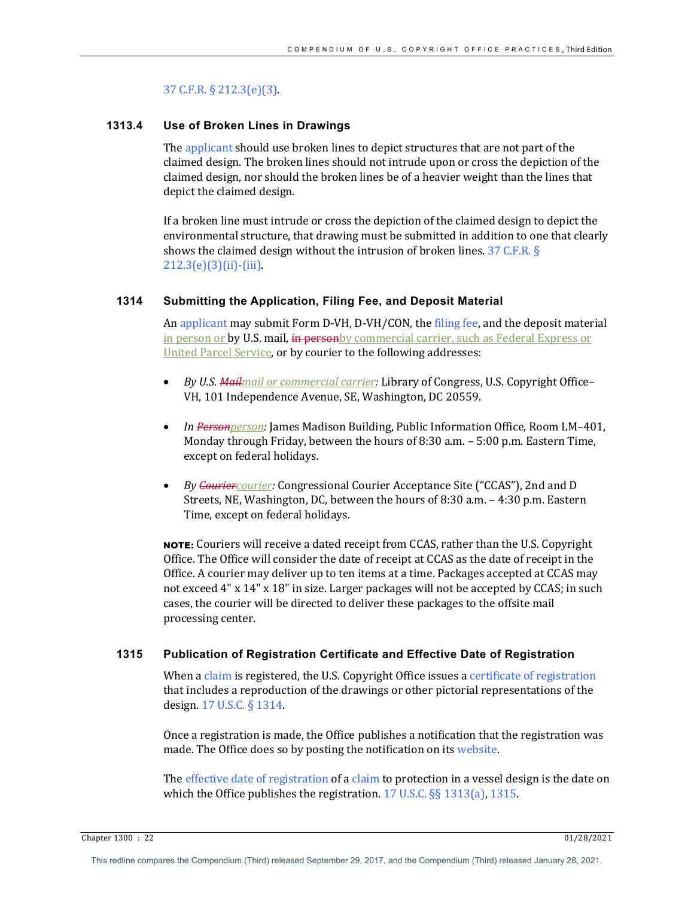## 37 C.F.R. § 212.3(e)(3).

## **1313.4 Use of Broken Lines in Drawings**

The applicant should use broken lines to depict structures that are not part of the claimed design. The broken lines should not intrude upon or cross the depiction of the claimed design, nor should the broken lines be of a heavier weight than the lines that depict the claimed design.

If a broken line must intrude or cross the depiction of the claimed design to depict the environmental structure, that drawing must be submitted in addition to one that clearly shows the claimed design without the intrusion of broken lines.  $37$  C.F.R. §  $212.3(e)(3)(ii)$ -(iii).

## **1314 Submitting the Application, Filing Fee, and Deposit Material**

An applicant may submit Form D-VH, D-VH/CON, the filing fee, and the deposit material in person or by U.S. mail, in personby commercial carrier, such as Federal Express or United Parcel Service, or by courier to the following addresses:

- *By U.S. Mailmail or commercial carrier:* Library of Congress, U.S. Copyright Office– VH, 101 Independence Avenue, SE, Washington, DC 20559.
- *In Personperson:* James Madison Building, Public Information Office, Room LM-401, Monday through Friday, between the hours of 8:30 a.m. - 5:00 p.m. Eastern Time, except on federal holidays.
- By Couriercourier: Congressional Courier Acceptance Site ("CCAS"), 2nd and D Streets, NE, Washington, DC, between the hours of 8:30 a.m.  $-4:30$  p.m. Eastern Time, except on federal holidays.

**NOTE:** Couriers will receive a dated receipt from CCAS, rather than the U.S. Copyright Office. The Office will consider the date of receipt at CCAS as the date of receipt in the Office. A courier may deliver up to ten items at a time. Packages accepted at CCAS may not exceed  $4"$  x  $14"$  x  $18"$  in size. Larger packages will not be accepted by CCAS; in such cases, the courier will be directed to deliver these packages to the offsite mail processing center.

## **1315 Publication of Registration Certificate and Effective Date of Registration**

When a claim is registered, the U.S. Copyright Office issues a certificate of registration that includes a reproduction of the drawings or other pictorial representations of the design. 17 U.S.C. § 1314.

Once a registration is made, the Office publishes a notification that the registration was made. The Office does so by posting the notification on its website.

The effective date of registration of a claim to protection in a vessel design is the date on which the Office publishes the registration.  $17$  U.S.C. §§  $1313(a)$ ,  $1315$ .

Chapter 1300 : 22 01/28/2021